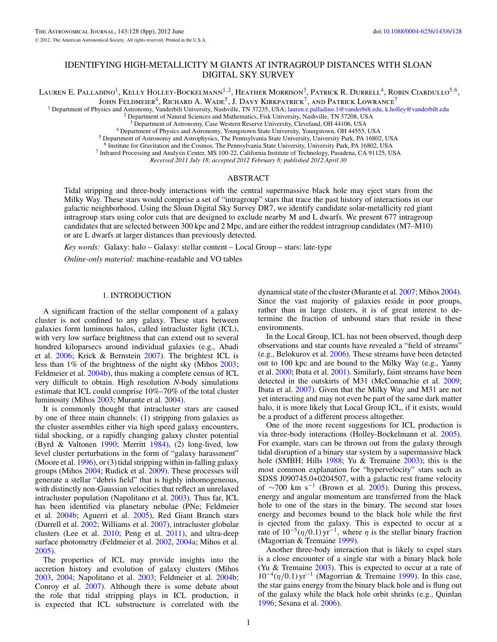# <span id="page-0-0"></span>IDENTIFYING HIGH-METALLICITY M GIANTS AT INTRAGROUP DISTANCES WITH SLOAN DIGITAL SKY SURVEY

Lauren E. Palladino<sup>1</sup>, Kelly Holley-Bockelmann<sup>1,2</sup>, Heather Morrison<sup>3</sup>, Patrick R. Durrell<sup>4</sup>, Robin Ciardullo<sup>5,6</sup>,

JOHN FELDMEIER<sup>4</sup>, RICHARD A. WADE<sup>5</sup>, J. DAVY KIRKPATRICK<sup>7</sup>, AND PATRICK LOWRANCE<sup>7</sup>

<sup>1</sup> Department of Physics and Astronomy, Vanderbilt University, Nashville, TN 37235, USA; [lauren.e.palladino.1@vanderbilt.edu,](mailto:lauren.e.palladino.1@vanderbilt.edu) [k.holley@vanderbilt.edu](mailto:k.holley@vanderbilt.edu)<br><sup>2</sup> Department of Natural Sciences and Mathematics, Fisk University, N

<sup>5</sup> Department of Physics and Astronomy, Youngstown State University, Youngstown, OH 44555, USA<br><sup>5</sup> Department of Astronomy and Astrophysics, The Pennsylvania State University, University Park, PA 16802, USA<br><sup>6</sup> Institute

<sup>7</sup> Infrared Processing and Analysis Center, MS 100-22, California Institute of Technology, Pasadena, CA 91125, USA

*Received 2011 July 18; accepted 2012 February 8; published 2012 April 30*

# ABSTRACT

Tidal stripping and three-body interactions with the central supermassive black hole may eject stars from the Milky Way. These stars would comprise a set of "intragroup" stars that trace the past history of interactions in our galactic neighborhood. Using the Sloan Digital Sky Survey DR7, we identify candidate solar-metallicity red giant intragroup stars using color cuts that are designed to exclude nearby M and L dwarfs. We present 677 intragroup candidates that are selected between 300 kpc and 2 Mpc, and are either the reddest intragroup candidates (M7–M10) or are L dwarfs at larger distances than previously detected.

*Key words:* Galaxy: halo – Galaxy: stellar content – Local Group – stars: late-type

*Online-only material:* machine-readable and VO tables

## 1. INTRODUCTION

A significant fraction of the stellar component of a galaxy cluster is not confined to any galaxy. These stars between galaxies form luminous halos, called intracluster light (ICL), with very low surface brightness that can extend out to several hundred kiloparsecs around individual galaxies (e.g., Abadi et al. [2006;](#page-6-0) Krick & Bernstein [2007\)](#page-7-0). The brightest ICL is less than 1% of the brightness of the night sky (Mihos [2003;](#page-7-0) Feldmeier et al. [2004b\)](#page-6-0), thus making a complete census of ICL very difficult to obtain. High resolution *N*-body simulations estimate that ICL could comprise 10%–70% of the total cluster luminosity (Mihos [2003;](#page-7-0) Murante et al. [2004\)](#page-7-0).

It is commonly thought that intracluster stars are caused by one of three main channels: (1) stripping from galaxies as the cluster assembles either via high speed galaxy encounters, tidal shocking, or a rapidly changing galaxy cluster potential (Byrd & Valtonen [1990;](#page-6-0) Merritt [1984\)](#page-7-0), (2) long-lived, low level cluster perturbations in the form of "galaxy harassment" (Moore et al.  $1996$ ), or (3) tidal stripping within in-falling galaxy groups (Mihos [2004;](#page-7-0) Rudick et al. [2009\)](#page-7-0). These processes will generate a stellar "debris field" that is highly inhomogeneous, with distinctly non-Gaussian velocities that reflect an unrelaxed intracluster population (Napolitano et al. [2003\)](#page-7-0). Thus far, ICL has been identified via planetary nebulae (PNe; Feldmeier et al. [2004b;](#page-6-0) Aguerri et al. [2005\)](#page-6-0), Red Giant Branch stars (Durrell et al. [2002;](#page-6-0) Williams et al. [2007\)](#page-7-0), intracluster globular clusters (Lee et al. [2010;](#page-7-0) Peng et al. [2011\)](#page-7-0), and ultra-deep surface photometry (Feldmeier et al. [2002,](#page-6-0) [2004a;](#page-6-0) Mihos et al. [2005\)](#page-7-0).

The properties of ICL may provide insights into the accretion history and evolution of galaxy clusters (Mihos [2003,](#page-7-0) [2004;](#page-7-0) Napolitano et al. [2003;](#page-7-0) Feldmeier et al. [2004b;](#page-6-0) Conroy et al. [2007\)](#page-6-0). Although there is some debate about the role that tidal stripping plays in ICL production, it is expected that ICL substructure is correlated with the

dynamical state of the cluster (Murante et al. [2007;](#page-7-0) Mihos [2004\)](#page-7-0). Since the vast majority of galaxies reside in poor groups, rather than in large clusters, it is of great interest to determine the fraction of unbound stars that reside in these environments.

In the Local Group, ICL has not been observed, though deep observations and star counts have revealed a "field of streams" (e.g., Belokurov et al. [2006\)](#page-6-0). These streams have been detected out to 100 kpc and are bound to the Milky Way (e.g., Yanny et al. [2000;](#page-7-0) Ibata et al. [2001\)](#page-6-0). Similarly, faint streams have been detected in the outskirts of M31 (McConnachie et al. [2009;](#page-7-0) Ibata et al. [2007\)](#page-7-0). Given that the Milky Way and M31 are not yet interacting and may not even be part of the same dark matter halo, it is more likely that Local Group ICL, if it exists, would be a product of a different process altogether.

One of the more recent suggestions for ICL production is via three-body interactions (Holley-Bockelmann et al. [2005\)](#page-6-0). For example, stars can be thrown out from the galaxy through tidal disruption of a binary star system by a supermassive black hole (SMBH; Hills [1988;](#page-6-0) Yu & Tremaine [2003\)](#page-7-0); this is the most common explanation for "hypervelocity" stars such as SDSS J090745.0+0204507, with a galactic rest frame velocity of ∼700 km s<sup>-1</sup> (Brown et al. [2005\)](#page-6-0). During this process, energy and angular momentum are transferred from the black hole to one of the stars in the binary. The second star loses energy and becomes bound to the black hole while the first is ejected from the galaxy. This is expected to occur at a rate of  $10^{-5}(\eta/0.1)$  yr<sup>-1</sup>, where  $\eta$  is the stellar binary fraction (Magorrian & Tremaine [1999\)](#page-7-0).

Another three-body interaction that is likely to expel stars is a close encounter of a single star with a binary black hole (Yu & Tremaine [2003\)](#page-7-0). This is expected to occur at a rate of 10−4(*η/*0*.*1) yr−<sup>1</sup> (Magorrian & Tremaine [1999\)](#page-7-0). In this case, the star gains energy from the binary black hole and is flung out of the galaxy while the black hole orbit shrinks (e.g., Quinlan [1996;](#page-7-0) Sesana et al. [2006\)](#page-7-0).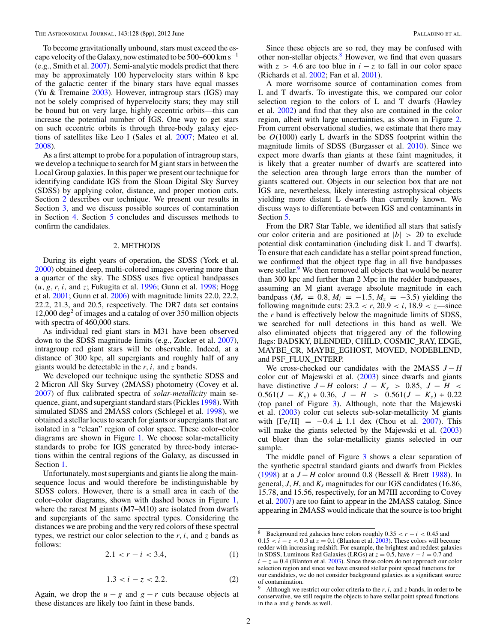<span id="page-1-0"></span>To become gravitationally unbound, stars must exceed the escape velocity of the Galaxy, now estimated to be  $500-600 \text{ km s}^{-1}$ (e.g., Smith et al. [2007\)](#page-7-0). Semi-analytic models predict that there may be approximately 100 hypervelocity stars within 8 kpc of the galactic center if the binary stars have equal masses (Yu & Tremaine [2003\)](#page-7-0). However, intragroup stars (IGS) may not be solely comprised of hypervelocity stars; they may still be bound but on very large, highly eccentric orbits—this can increase the potential number of IGS. One way to get stars on such eccentric orbits is through three-body galaxy ejections of satellites like Leo I (Sales et al. [2007;](#page-7-0) Mateo et al. [2008\)](#page-7-0).

As a first attempt to probe for a population of intragroup stars, we develop a technique to search for M giant stars in between the Local Group galaxies. In this paper we present our technique for identifying candidate IGS from the Sloan Digital Sky Survey (SDSS) by applying color, distance, and proper motion cuts. Section 2 describes our technique. We present our results in Section [3,](#page-3-0) and we discuss possible sources of contamination in Section [4.](#page-4-0) Section [5](#page-5-0) concludes and discusses methods to confirm the candidates.

### 2. METHODS

During its eight years of operation, the SDSS (York et al. [2000\)](#page-7-0) obtained deep, multi-colored images covering more than a quarter of the sky. The SDSS uses five optical bandpasses (*u, g, r, i,* and *z*; Fukugita et al. [1996;](#page-6-0) Gunn et al. [1998;](#page-6-0) Hogg et al. [2001;](#page-6-0) Gunn et al. [2006\)](#page-6-0) with magnitude limits 22.0, 22.2, 22.2, 21.3, and 20.5, respectively. The DR7 data set contains  $12,000 \text{ deg}^2$  of images and a catalog of over 350 million objects with spectra of 460,000 stars.

As individual red giant stars in M31 have been observed down to the SDSS magnitude limits (e.g., Zucker et al. [2007\)](#page-7-0), intragroup red giant stars will be observable. Indeed, at a distance of 300 kpc, all supergiants and roughly half of any giants would be detectable in the *r, i,* and *z* bands.

We developed our technique using the synthetic SDSS and 2 Micron All Sky Survey (2MASS) photometry (Covey et al. [2007\)](#page-6-0) of flux calibrated spectra of *solar-metallicity* main sequence, giant, and supergiant standard stars (Pickles [1998\)](#page-7-0). With simulated SDSS and 2MASS colors (Schlegel et al. [1998\)](#page-7-0), we obtained a stellar locus to search for giants or supergiants that are isolated in a "clean" region of color space. These color–color diagrams are shown in Figure [1.](#page-2-0) We choose solar-metallicity standards to probe for IGS generated by three-body interactions within the central regions of the Galaxy, as discussed in Section [1.](#page-0-0)

Unfortunately, most supergiants and giants lie along the mainsequence locus and would therefore be indistinguishable by SDSS colors. However, there is a small area in each of the color–color diagrams, shown with dashed boxes in Figure [1,](#page-2-0) where the rarest M giants (M7–M10) are isolated from dwarfs and supergiants of the same spectral types. Considering the distances we are probing and the very red colors of these spectral types, we restrict our color selection to the  $r$ ,  $i$ , and  $\zeta$  bands as follows:

$$
2.1 < r - i < 3.4,\tag{1}
$$

$$
1.3 < i - z < 2.2.
$$
 (2)

Again, we drop the  $u - g$  and  $g - r$  cuts because objects at these distances are likely too faint in these bands.

Since these objects are so red, they may be confused with other non-stellar objects. $8 \text{ However}$ , we find that even quasars with  $z > 4.6$  are too blue in  $i - z$  to fall in our color space (Richards et al. [2002;](#page-7-0) Fan et al. [2001\)](#page-6-0).

A more worrisome source of contamination comes from L and T dwarfs. To investigate this, we compared our color selection region to the colors of L and T dwarfs (Hawley et al. [2002\)](#page-6-0) and find that they also are contained in the color region, albeit with large uncertainties, as shown in Figure [2.](#page-3-0) From current observational studies, we estimate that there may be *O*(1000) early L dwarfs in the SDSS footprint within the magnitude limits of SDSS (Burgasser et al. [2010\)](#page-6-0). Since we expect more dwarfs than giants at these faint magnitudes, it is likely that a greater number of dwarfs are scattered into the selection area through large errors than the number of giants scattered out. Objects in our selection box that are not IGS are, nevertheless, likely interesting astrophysical objects yielding more distant L dwarfs than currently known. We discuss ways to differentiate between IGS and contaminants in Section [5.](#page-5-0)

From the DR7 Star Table, we identified all stars that satisfy our color criteria and are positioned at |*b*| *>* 20 to exclude potential disk contamination (including disk L and T dwarfs). To ensure that each candidate has a stellar point spread function, we confirmed that the object type flag in all five bandpasses were stellar.<sup>9</sup> We then removed all objects that would be nearer than 300 kpc and further than 2 Mpc in the redder bandpasses, assuming an M giant average absolute magnitude in each bandpass  $(M_r = 0.8, M_i = -1.5, M_z = -3.5)$  yielding the following magnitude cuts:  $23.2 < r$ ,  $20.9 < i$ ,  $18.9 < z$ —since the *r* band is effectively below the magnitude limits of SDSS, we searched for null detections in this band as well. We also eliminated objects that triggered any of the following flags: BADSKY, BLENDED, CHILD, COSMIC\_RAY, EDGE, MAYBE\_CR, MAYBE\_EGHOST, MOVED, NODEBLEND, and PSF\_FLUX\_INTERP.

We cross-checked our candidates with the 2MASS *J* − *H* color cut of Majewski et al. [\(2003\)](#page-7-0) since dwarfs and giants have distinctive  $J - H$  colors:  $J - K_s > 0.85$ ,  $J - H <$  $0.561(J - K_s) + 0.36, J - H > 0.561(J - K_s) + 0.22$ (top panel of Figure [3\)](#page-4-0). Although, note that the Majewski et al. [\(2003\)](#page-7-0) color cut selects sub-solar-metallicity M giants with  $[Fe/H] = -0.4 \pm 1.1$  dex (Chou et al. [2007\)](#page-6-0). This will make the giants selected by the Majewski et al. [\(2003\)](#page-7-0) cut bluer than the solar-metallicity giants selected in our sample.

The middle panel of Figure [3](#page-4-0) shows a clear separation of the synthetic spectral standard giants and dwarfs from Pickles [\(1998\)](#page-7-0) at a *J* − *H* color around 0.8 (Bessell & Brett [1988\)](#page-6-0). In general,  $J, H$ , and  $K_s$  magnitudes for our IGS candidates (16.86, 15.78, and 15.56, respectively, for an M7III according to Covey et al. [2007\)](#page-6-0) are too faint to appear in the 2MASS catalog. Since appearing in 2MASS would indicate that the source is too bright

<sup>8</sup> Background red galaxies have colors roughly  $0.35 < r - i < 0.45$  and  $0.15 < i - z < 0.3$  at  $z = 0.1$  (Blanton et al. [2003\)](#page-6-0). These colors will become redder with increasing redshift. For example, the brightest and reddest galaxies in SDSS, Luminous Red Galaxies (LRGs) at  $z = 0.5$ , have  $r - i = 0.7$  and  $i - z = 0.4$  (Blanton et al. [2003\)](#page-6-0). Since these colors do not approach our color selection region and since we have ensured stellar point spread functions for our candidates, we do not consider background galaxies as a significant source of contamination.

Although we restrict our color criteria to the  $r$ ,  $i$ , and  $\zeta$  bands, in order to be conservative, we still require the objects to have stellar point spread functions in the *u* and *g* bands as well.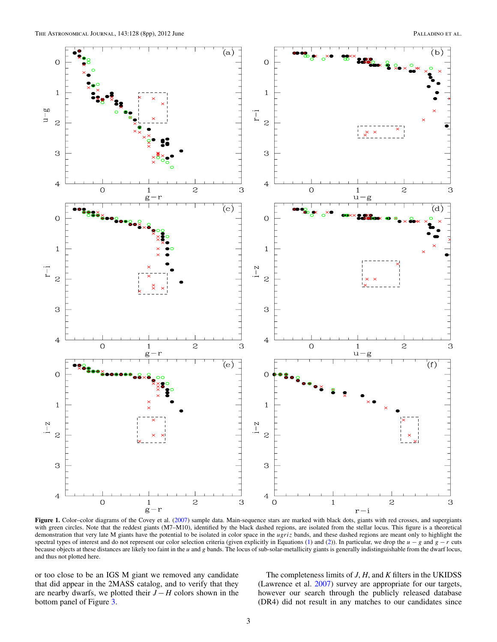<span id="page-2-0"></span>

**Figure 1.** Color–color diagrams of the Covey et al. [\(2007\)](#page-6-0) sample data. Main-sequence stars are marked with black dots, giants with red crosses, and supergiants with green circles. Note that the reddest giants (M7–M10), identified by the black dashed regions, are isolated from the stellar locus. This figure is a theoretical demonstration that very late M giants have the potential to be isolated in color space in the *ugriz* bands, and these dashed regions are meant only to highlight the spectral types of interest and do not represent our color selection criteria (given explicitly in Equations [\(1\)](#page-1-0) and [\(2\)](#page-1-0)). In particular, we drop the *u* − *g* and *g* − *r* cuts because objects at these distances are likely too faint in the *u* and *g* bands. The locus of sub-solar-metallicity giants is generally indistinguishable from the dwarf locus, and thus not plotted here.

or too close to be an IGS M giant we removed any candidate that did appear in the 2MASS catalog, and to verify that they are nearby dwarfs, we plotted their *J* − *H* colors shown in the bottom panel of Figure [3.](#page-4-0)

The completeness limits of *J*, *H*, and *K* filters in the UKIDSS (Lawrence et al. [2007\)](#page-7-0) survey are appropriate for our targets, however our search through the publicly released database (DR4) did not result in any matches to our candidates since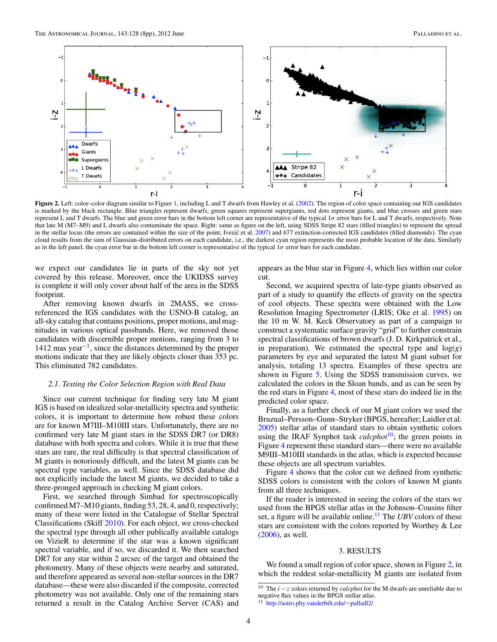<span id="page-3-0"></span>

**Figure 2.** Left: color–color diagram similar to Figure [1,](#page-2-0) including L and T dwarfs from Hawley et al. [\(2002\)](#page-6-0). The region of color space containing our IGS candidates is marked by the black rectangle. Blue triangles represent dwarfs, green squares represent supergiants, red dots represent giants, and blue crosses and green stars represent L and T dwarfs. The blue and green error bars in the bottom left corner are representative of the typical 1*σ* error bars for L and T dwarfs, respectively. Note that late M (M7–M9) and L dwarfs also contaminate the space. Right: same as figure on the left, using SDSS Stripe 82 stars (filled triangles) to represent the spread in the stellar locus (the errors are contained within the size of the point; Ivezić et al. [2007\)](#page-7-0) and 677 extinction-corrected IGS candidates (filled diamonds). The cyan cloud results from the sum of Gaussian-distributed errors on each candidate, i.e., the darkest cyan region represents the most probable location of the data. Similarly as in the left panel, the cyan error bar in the bottom left corner is representative of the typical 1*σ* error bars for each candidate.

we expect our candidates lie in parts of the sky not yet covered by this release. Moreover, once the UKIDSS survey is complete it will only cover about half of the area in the SDSS footprint.

After removing known dwarfs in 2MASS, we crossreferenced the IGS candidates with the USNO-B catalog, an all-sky catalog that contains positions, proper motions, and magnitudes in various optical passbands. Here, we removed those candidates with discernible proper motions, ranging from 3 to 1412 mas year−1, since the distances determined by the proper motions indicate that they are likely objects closer than 353 pc. This eliminated 782 candidates.

#### *2.1. Testing the Color Selection Region with Real Data*

Since our current technique for finding very late M giant IGS is based on idealized solar-metallicity spectra and synthetic colors, it is important to determine how robust these colors are for known M7III–M10III stars. Unfortunately, there are no confirmed very late M giant stars in the SDSS DR7 (or DR8) database with both spectra and colors. While it is true that these stars are rare, the real difficulty is that spectral classification of M giants is notoriously difficult, and the latest M giants can be spectral type variables, as well. Since the SDSS database did not explicitly include the latest M giants, we decided to take a three-pronged approach in checking M giant colors.

First, we searched through Simbad for spectroscopically confirmed M7–M10 giants, finding 53, 28, 4, and 0, respectively; many of these were listed in the Catalogue of Stellar Spectral Classifications (Skiff [2010\)](#page-7-0). For each object, we cross-checked the spectral type through all other publically available catalogs on VizieR to determine if the star was a known significant spectral variable, and if so, we discarded it. We then searched DR7 for any star within 2 arcsec of the target and obtained the photometry. Many of these objects were nearby and saturated, and therefore appeared as several non-stellar sources in the DR7 database—these were also discarded if the composite, corrected photometry was not available. Only one of the remaining stars returned a result in the Catalog Archive Server (CAS) and

appears as the blue star in Figure [4,](#page-4-0) which lies within our color cut.

Second, we acquired spectra of late-type giants observed as part of a study to quantify the effects of gravity on the spectra of cool objects. These spectra were obtained with the Low Resolution Imaging Spectrometer (LRIS; Oke et al. [1995\)](#page-7-0) on the 10 m W. M. Keck Observatory as part of a campaign to construct a systematic surface gravity "grid" to further constrain spectral classifications of brown dwarfs (J. D. Kirkpatrick et al., in preparation). We estimated the spectral type and log(*g*) parameters by eye and separated the latest M giant subset for analysis, totaling 13 spectra. Examples of these spectra are shown in Figure [5.](#page-5-0) Using the SDSS transmission curves, we calculated the colors in the Sloan bands, and as can be seen by the red stars in Figure [4,](#page-4-0) most of these stars do indeed lie in the predicted color space.

Finally, as a further check of our M giant colors we used the Bruzual–Persson–Gunn–Stryker (BPGS, hereafter; Laidler et al. [2005\)](#page-7-0) stellar atlas of standard stars to obtain synthetic colors using the IRAF Synphot task *calcphot*<sup>10</sup>; the green points in Figure [4](#page-4-0) represent these standard stars—there were no available M9III–M10III standards in the atlas, which is expected because these objects are all spectrum variables.

Figure [4](#page-4-0) shows that the color cut we defined from synthetic SDSS colors is consistent with the colors of known M giants from all three techniques.

If the reader is interested in seeing the colors of the stars we used from the BPGS stellar atlas in the Johnson–Cousins filter set, a figure will be available online.<sup>11</sup> The *UBV* colors of these stars are consistent with the colors reported by Worthey & Lee [\(2006\)](#page-7-0), as well.

#### 3. RESULTS

We found a small region of color space, shown in Figure 2, in which the reddest solar-metallicity M giants are isolated from

<sup>10</sup> The *<sup>i</sup>* <sup>−</sup> *<sup>z</sup>* colors returned by *calcphot* for the M dwarfs are unreliable due to negative flux values in the BPGS stellar atlas.

<sup>11</sup> [http://astro.phy.vanderbilt.edu/](http://astro.phy.vanderbilt.edu/~palladl2/)∼palladl2/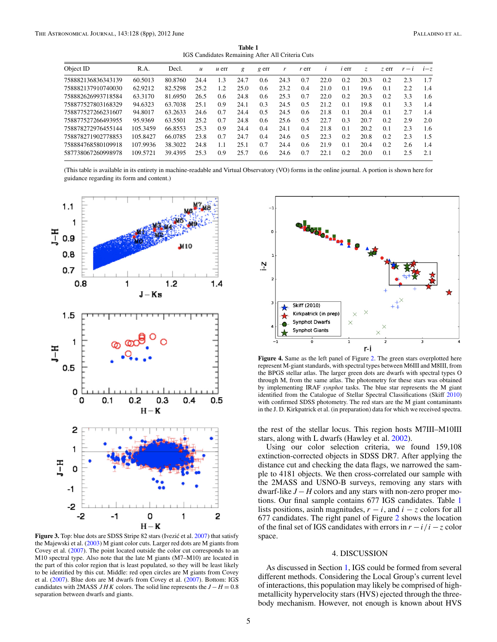**Table 1** IGS Candidates Remaining After All Criteria Cuts

<span id="page-4-0"></span>

| Object ID          | R.A.     | Decl.   | $\mathfrak u$ | $\mu$ err | g    | $g$ err       | r    | $r$ err |      | <i>i</i> err | Z.   | z err | $r - i$ | $i-z$ |
|--------------------|----------|---------|---------------|-----------|------|---------------|------|---------|------|--------------|------|-------|---------|-------|
| 758882136836343139 | 60.5013  | 80.8760 | 24.4          | 1.3       | 24.7 | 0.6           | 24.3 | 0.7     | 22.0 | 0.2          | 20.3 | 0.2   | 2.3     | 1.7   |
| 758882137910740030 | 62.9212  | 82.5298 | 25.2          | 1.2       | 25.0 | $0.6^{\circ}$ | 23.2 | 0.4     | 21.0 | 0.1          | 19.6 | 0.1   | 2.2     | 1.4   |
| 758882626993718584 | 63.3170  | 81.6950 | 26.5          | 0.6       | 24.8 | 0.6           | 25.3 | 0.7     | 22.0 | 0.2          | 20.3 | 0.2   | 3.3     | 1.6   |
| 758877527803168329 | 94.6323  | 63.7038 | 25.1          | 0.9       | 24.1 | 0.3           | 24.5 | 0.5     | 21.2 | 0.1          | 19.8 | 0.1   | 3.3     | 1.4   |
| 758877527266231607 | 94.8017  | 63.2633 | 24.6          | 0.7       | 24.4 | 0.5           | 24.5 | 0.6     | 21.8 | 0.1          | 20.4 | 0.1   | 2.7     | 1.4   |
| 758877527266493955 | 95.9369  | 63.5501 | 25.2          | 0.7       | 24.8 | 0.6           | 25.6 | 0.5     | 22.7 | 0.3          | 20.7 | 0.2   | 2.9     | 2.0   |
| 758878272976455144 | 105.3459 | 66.8553 | 25.3          | 0.9       | 24.4 | 0.4           | 24.1 | 0.4     | 21.8 | 0.1          | 20.2 | 0.1   | 2.3     | 1.6   |
| 758878271902778853 | 105.8427 | 66.0785 | 23.8          | 0.7       | 24.7 | 0.4           | 24.6 | 0.5     | 22.3 | 0.2          | 20.8 | 0.2   | 2.3     | 1.5   |
| 758884768580109918 | 107.9936 | 38.3022 | 24.8          | 1.1       | 25.1 | 0.7           | 24.4 | 0.6     | 21.9 | 0.1          | 20.4 | 0.2   | 2.6     | 1.4   |
| 587738067260998978 | 109.5721 | 39.4395 | 25.3          | 0.9       | 25.7 | 0.6           | 24.6 | 0.7     | 22.1 | 0.2          | 20.0 | 0.1   | 2.5     | 2.1   |

(This table is available in its entirety in machine-readable and Virtual Observatory (VO) forms in the online journal. A portion is shown here for guidance regarding its form and content.)



Figure 3. Top: blue dots are SDSS Stripe 82 stars (Ivezić et al. [2007\)](#page-7-0) that satisfy the Majewski et al. [\(2003\)](#page-7-0) M giant color cuts. Larger red dots are M giants from Covey et al. [\(2007\)](#page-6-0). The point located outside the color cut corresponds to an M10 spectral type. Also note that the late M giants (M7–M10) are located in the part of this color region that is least populated, so they will be least likely to be identified by this cut. Middle: red open circles are M giants from Covey et al. [\(2007\)](#page-6-0). Blue dots are M dwarfs from Covey et al. [\(2007\)](#page-6-0). Bottom: IGS candidates with 2MASS *JHK* colors. The solid line represents the *J* − *H* = 0.8 separation between dwarfs and giants.



Figure 4. Same as the left panel of Figure [2.](#page-3-0) The green stars overplotted here represent M-giant standards, with spectral types between M6III and M8III, from the BPGS stellar atlas. The larger green dots are dwarfs with spectral types O through M, from the same atlas. The photometry for these stars was obtained by implementing IRAF *synphot* tasks. The blue star represents the M giant identified from the Catalogue of Stellar Spectral Classifications (Skiff [2010\)](#page-7-0) with confirmed SDSS photometry. The red stars are the M giant contaminants in the J. D. Kirkpatrick et al. (in preparation) data for which we received spectra.

the rest of the stellar locus. This region hosts M7III–M10III stars, along with L dwarfs (Hawley et al. [2002\)](#page-6-0).

Using our color selection criteria, we found 159,108 extinction-corrected objects in SDSS DR7. After applying the distance cut and checking the data flags, we narrowed the sample to 4181 objects. We then cross-correlated our sample with the 2MASS and USNO-B surveys, removing any stars with dwarf-like *J* − *H* colors and any stars with non-zero proper motions. Our final sample contains 677 IGS candidates. Table 1 lists positions, asinh magnitudes,  $r - i$ , and  $i - z$  colors for all 677 candidates. The right panel of Figure [2](#page-3-0) shows the location of the final set of IGS candidates with errors in  $r - i/i - z$  color space.

### 4. DISCUSSION

As discussed in Section [1,](#page-0-0) IGS could be formed from several different methods. Considering the Local Group's current level of interactions, this population may likely be comprised of highmetallicity hypervelocity stars (HVS) ejected through the threebody mechanism. However, not enough is known about HVS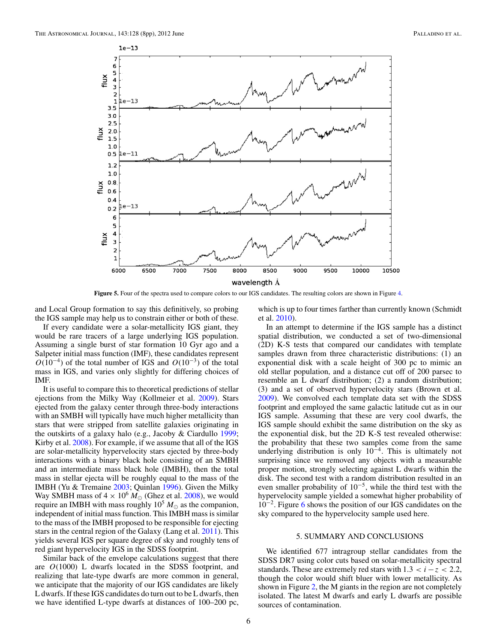<span id="page-5-0"></span>

**Figure 5.** Four of the spectra used to compare colors to our IGS candidates. The resulting colors are shown in Figure [4.](#page-4-0)

and Local Group formation to say this definitively, so probing the IGS sample may help us to constrain either or both of these.

If every candidate were a solar-metallicity IGS giant, they would be rare tracers of a large underlying IGS population. Assuming a single burst of star formation 10 Gyr ago and a Salpeter initial mass function (IMF), these candidates represent  $O(10^{-4})$  of the total number of IGS and  $O(10^{-3})$  of the total mass in IGS, and varies only slightly for differing choices of IMF.

It is useful to compare this to theoretical predictions of stellar ejections from the Milky Way (Kollmeier et al. [2009\)](#page-7-0). Stars ejected from the galaxy center through three-body interactions with an SMBH will typically have much higher metallicity than stars that were stripped from satellite galaxies originating in the outskirts of a galaxy halo (e.g., Jacoby & Ciardullo [1999;](#page-7-0) Kirby et al. [2008\)](#page-7-0). For example, if we assume that all of the IGS are solar-metallicity hypervelocity stars ejected by three-body interactions with a binary black hole consisting of an SMBH and an intermediate mass black hole (IMBH), then the total mass in stellar ejecta will be roughly equal to the mass of the IMBH (Yu & Tremaine [2003;](#page-7-0) Quinlan [1996\)](#page-7-0). Given the Milky Way SMBH mass of  $4 \times 10^6 M_{\odot}$  (Ghez et al. [2008\)](#page-6-0), we would require an IMBH with mass roughly  $10^5 M_{\odot}$  as the companion, independent of initial mass function. This IMBH mass is similar to the mass of the IMBH proposed to be responsible for ejecting stars in the central region of the Galaxy (Lang et al. [2011\)](#page-7-0). This yields several IGS per square degree of sky and roughly tens of red giant hypervelocity IGS in the SDSS footprint.

Similar back of the envelope calculations suggest that there are *O*(1000) L dwarfs located in the SDSS footprint, and realizing that late-type dwarfs are more common in general, we anticipate that the majority of our IGS candidates are likely L dwarfs. If these IGS candidates do turn out to be L dwarfs, then we have identified L-type dwarfs at distances of 100–200 pc,

which is up to four times farther than currently known (Schmidt et al. [2010\)](#page-7-0).

In an attempt to determine if the IGS sample has a distinct spatial distribution, we conducted a set of two-dimensional (2D) K-S tests that compared our candidates with template samples drawn from three characteristic distributions: (1) an exponential disk with a scale height of 300 pc to mimic an old stellar population, and a distance cut off of 200 parsec to resemble an L dwarf distribution; (2) a random distribution; (3) and a set of observed hypervelocity stars (Brown et al. [2009\)](#page-6-0). We convolved each template data set with the SDSS footprint and employed the same galactic latitude cut as in our IGS sample. Assuming that these are very cool dwarfs, the IGS sample should exhibit the same distribution on the sky as the exponential disk, but the 2D K-S test revealed otherwise: the probability that these two samples come from the same underlying distribution is only  $10^{-4}$ . This is ultimately not surprising since we removed any objects with a measurable proper motion, strongly selecting against L dwarfs within the disk. The second test with a random distribution resulted in an even smaller probability of  $10^{-5}$ , while the third test with the hypervelocity sample yielded a somewhat higher probability of 10−2. Figure [6](#page-6-0) shows the position of our IGS candidates on the sky compared to the hypervelocity sample used here.

### 5. SUMMARY AND CONCLUSIONS

We identified 677 intragroup stellar candidates from the SDSS DR7 using color cuts based on solar-metallicity spectral standards. These are extremely red stars with  $1.3 < i - z < 2.2$ , though the color would shift bluer with lower metallicity. As shown in Figure [2,](#page-3-0) the M giants in the region are not completely isolated. The latest M dwarfs and early L dwarfs are possible sources of contamination.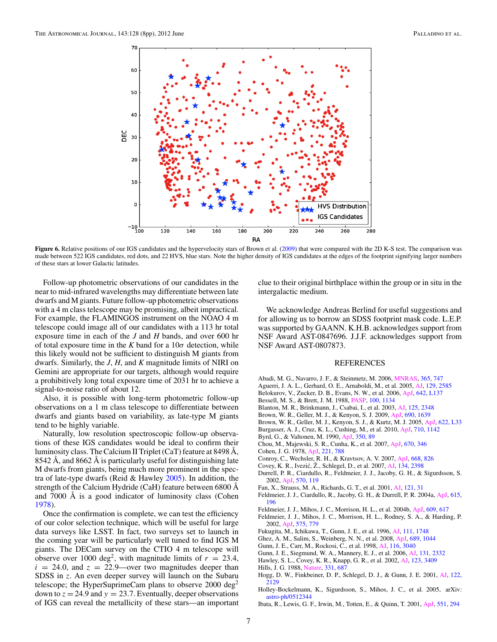<span id="page-6-0"></span>

**Figure 6.** Relative positions of our IGS candidates and the hypervelocity stars of Brown et al. (2009) that were compared with the 2D K-S test. The comparison was made between 522 IGS candidates, red dots, and 22 HVS, blue stars. Note the higher density of IGS candidates at the edges of the footprint signifying larger numbers of these stars at lower Galactic latitudes.

Follow-up photometric observations of our candidates in the near to mid-infrared wavelengths may differentiate between late dwarfs and M giants. Future follow-up photometric observations with a 4 m class telescope may be promising, albeit impractical. For example, the FLAMINGOS instrument on the NOAO 4 m telescope could image all of our candidates with a 113 hr total exposure time in each of the *J* and *H* bands, and over 600 hr of total exposure time in the  $K$  band for a  $10\sigma$  detection, while this likely would not be sufficient to distinguish M giants from dwarfs. Similarly, the *J*, *H*, and *K* magnitude limits of NIRI on Gemini are appropriate for our targets, although would require a prohibitively long total exposure time of 2031 hr to achieve a signal-to-noise ratio of about 12.

Also, it is possible with long-term photometric follow-up observations on a 1 m class telescope to differentiate between dwarfs and giants based on variability, as late-type M giants tend to be highly variable.

Naturally, low resolution spectroscopic follow-up observations of these IGS candidates would be ideal to confirm their luminosity class. The Calcium II Triplet (CaT) feature at 8498 Å, 8542 Å, and 8662 Å is particularly useful for distinguishing late M dwarfs from giants, being much more prominent in the spectra of late-type dwarfs (Reid & Hawley [2005\)](#page-7-0). In addition, the strength of the Calcium Hydride (CaH) feature between 6800 Å and 7000 Å is a good indicator of luminosity class (Cohen 1978).

Once the confirmation is complete, we can test the efficiency of our color selection technique, which will be useful for large data surveys like LSST. In fact, two surveys set to launch in the coming year will be particularly well tuned to find IGS M giants. The DECam survey on the CTIO 4 m telescope will observe over 1000 deg<sup>2</sup>, with magnitude limits of  $r = 23.4$ ,  $i = 24.0$ , and  $z = 22.9$ —over two magnitudes deeper than SDSS in *z*. An even deeper survey will launch on the Subaru telescope; the HyperSuprimeCam plans to observe  $2000 \text{ deg}^2$ down to  $z = 24.9$  and  $y = 23.7$ . Eventually, deeper observations of IGS can reveal the metallicity of these stars—an important

clue to their original birthplace within the group or in situ in the intergalactic medium.

We acknowledge Andreas Berlind for useful suggestions and for allowing us to borrow an SDSS footprint mask code. L.E.P. was supported by GAANN. K.H.B. acknowledges support from NSF Award AST-0847696. J.J.F. acknowledges support from NSF Award AST-0807873.

#### REFERENCES

- Abadi, M. G., Navarro, J. F., & Steinmetz, M. 2006, [MNRAS,](http://dx.doi.org/10.1111/j.1365-2966.2005.09789.x) [365, 747](http://adsabs.harvard.edu/abs/2006MNRAS.365..747A)
- Aguerri, J. A. L., Gerhard, O. E., Arnaboldi, M., et al. 2005, [AJ,](http://dx.doi.org/10.1086/429936) [129, 2585](http://adsabs.harvard.edu/abs/2005AJ....129.2585A)
- Belokurov, V., Zucker, D. B., Evans, N. W., et al. 2006, [ApJ,](http://dx.doi.org/10.1086/504797) [642, L137](http://adsabs.harvard.edu/abs/2006ApJ...642L.137B)
- Bessell, M. S., & Brett, J. M. 1988, [PASP,](http://dx.doi.org/10.1086/132281) [100, 1134](http://adsabs.harvard.edu/abs/1988PASP..100.1134B)
- Blanton, M. R., Brinkmann, J., Csabai, I., et al. 2003, [AJ,](http://dx.doi.org/10.1086/342935) [125, 2348](http://adsabs.harvard.edu/abs/2003AJ....125.2348B)
- Brown, W. R., Geller, M. J., & Kenyon, S. J. 2009, [ApJ,](http://dx.doi.org/10.1088/0004-637X/690/2/1639) [690, 1639](http://adsabs.harvard.edu/abs/2009ApJ...690.1639B)
- Brown, W. R., Geller, M. J., Kenyon, S. J., & Kurtz, M. J. 2005, [ApJ,](http://dx.doi.org/10.1086/429378) [622, L33](http://adsabs.harvard.edu/abs/2005ApJ...622L..33B)
- Burgasser, A. J., Cruz, K. L., Cushing, M., et al. 2010, [ApJ,](http://dx.doi.org/10.1088/0004-637X/710/2/1142) [710, 1142](http://adsabs.harvard.edu/abs/2010ApJ...710.1142B)
- Byrd, G., & Valtonen, M. 1990, [ApJ,](http://dx.doi.org/10.1086/168362) [350, 89](http://adsabs.harvard.edu/abs/1990ApJ...350...89B)
- Chou, M., Majewski, S. R., Cunha, K., et al. 2007, [ApJ,](http://dx.doi.org/10.1086/522483) [670, 346](http://adsabs.harvard.edu/abs/2007ApJ...670..346C) Cohen, J. G. 1978, [ApJ,](http://dx.doi.org/10.1086/156081) [221, 788](http://adsabs.harvard.edu/abs/1978ApJ...221..788C)
- 
- Conroy, C., Wechsler, R. H., & Kravtsov, A. V. 2007, [ApJ,](http://dx.doi.org/10.1086/521425) [668, 826](http://adsabs.harvard.edu/abs/2007ApJ...668..826C)
- Covey, K. R., Ivezić, Ž., Schlegel, D., et al. 2007, [AJ,](http://dx.doi.org/10.1086/522052) [134, 2398](http://adsabs.harvard.edu/abs/2007AJ....134.2398C)
- Durrell, P. R., Ciardullo, R., Feldmeier, J. J., Jacoby, G. H., & Sigurdsson, S. 2002, [ApJ,](http://dx.doi.org/10.1086/339735) [570, 119](http://adsabs.harvard.edu/abs/2002ApJ...570..119D)
- Fan, X., Strauss, M. A., Richards, G. T., et al. 2001, [AJ,](http://dx.doi.org/10.1086/318032) [121, 31](http://adsabs.harvard.edu/abs/2001AJ....121...31F)
- Feldmeier, J. J., Ciardullo, R., Jacoby, G. H., & Durrell, P. R. 2004a, [ApJ,](http://dx.doi.org/10.1086/424372) [615,](http://adsabs.harvard.edu/abs/2004ApJ...615..196F) [196](http://adsabs.harvard.edu/abs/2004ApJ...615..196F)
- Feldmeier, J. J., Mihos, J. C., Morrison, H. L., et al. 2004b, [ApJ,](http://dx.doi.org/10.1086/421313) [609, 617](http://adsabs.harvard.edu/abs/2004ApJ...609..617F)
- Feldmeier, J. J., Mihos, J. C., Morrison, H. L., Rodney, S. A., & Harding, P. 2002, [ApJ,](http://dx.doi.org/10.1086/341472) [575, 779](http://adsabs.harvard.edu/abs/2002ApJ...575..779F)
- Fukugita, M., Ichikawa, T., Gunn, J. E., et al. 1996, [AJ,](http://dx.doi.org/10.1086/117915) [111, 1748](http://adsabs.harvard.edu/abs/1996AJ....111.1748F)
- Ghez, A. M., Salim, S., Weinberg, N. N., et al. 2008, [ApJ,](http://dx.doi.org/10.1086/592738) [689, 1044](http://adsabs.harvard.edu/abs/2008ApJ...689.1044G)
- Gunn, J. E., Carr, M., Rockosi, C., et al. 1998, [AJ,](http://dx.doi.org/10.1086/300645) [116, 3040](http://adsabs.harvard.edu/abs/1998AJ....116.3040G)
- Gunn, J. E., Siegmund, W. A., Mannery, E. J., et al. 2006, [AJ,](http://dx.doi.org/10.1086/500975) [131, 2332](http://adsabs.harvard.edu/abs/2006AJ....131.2332G)
- Hawley, S. L., Covey, K. R., Knapp, G. R., et al. 2002, [AJ,](http://dx.doi.org/10.1086/340697) [123, 3409](http://adsabs.harvard.edu/abs/2002AJ....123.3409H)
- Hills, J. G. 1988, [Nature,](http://dx.doi.org/10.1038/331687a0) [331, 687](http://adsabs.harvard.edu/abs/1988Natur.331..687H)
- Hogg, D. W., Finkbeiner, D. P., Schlegel, D. J., & Gunn, J. E. 2001, [AJ,](http://dx.doi.org/10.1086/323103) [122,](http://adsabs.harvard.edu/abs/2001AJ....122.2129H) [2129](http://adsabs.harvard.edu/abs/2001AJ....122.2129H)
- Holley-Bockelmann, K., Sigurdsson, S., Mihos, J. C., et al. 2005, arXiv: [astro-ph/0512344](http://www.arxiv.org/abs/astro-ph/0512344)
- Ibata, R., Lewis, G. F., Irwin, M., Totten, E., & Quinn, T. 2001, [ApJ,](http://dx.doi.org/10.1086/320060) [551, 294](http://adsabs.harvard.edu/abs/2001ApJ...551..294I)